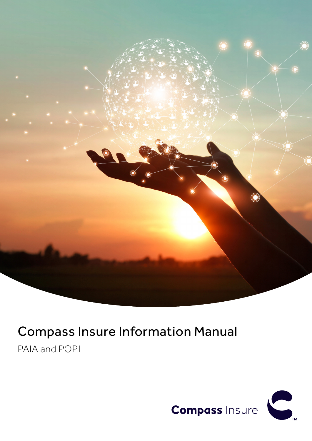

# Compass Insure Information Manual

PAIA and POPI

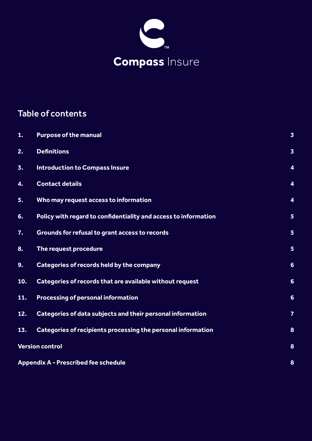

# Table of contents

| 1.  | <b>Purpose of the manual</b>                                    | $\overline{\mathbf{3}}$ |
|-----|-----------------------------------------------------------------|-------------------------|
| 2.  | <b>Definitions</b>                                              | $\overline{\mathbf{3}}$ |
| 3.  | <b>Introduction to Compass Insure</b>                           | 4                       |
| 4.  | <b>Contact details</b>                                          | 4                       |
| 5.  | Who may request access to information                           | 4                       |
| 6.  | Policy with regard to confidentiality and access to information | 5                       |
| 7.  | Grounds for refusal to grant access to records                  | 5                       |
| 8.  | The request procedure                                           | 5                       |
| 9.  | Categories of records held by the company                       | $6\phantom{1}6$         |
| 10. | Categories of records that are available without request        | $6\phantom{1}6$         |
| 11. | <b>Processing of personal information</b>                       | $6\phantom{1}6$         |
| 12. | Categories of data subjects and their personal information      | $\overline{7}$          |
| 13. | Categories of recipients processing the personal information    | 8                       |
|     | <b>Version control</b>                                          | 8                       |
|     | <b>Appendix A - Prescribed fee schedule</b>                     | 8                       |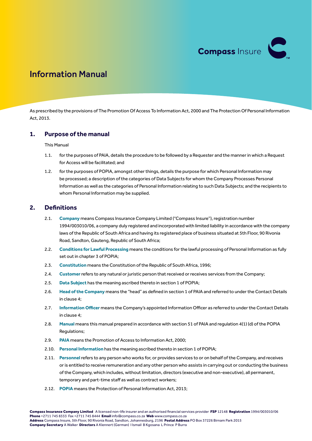

# <span id="page-2-0"></span>Information Manual

As prescribed by the provisions of The Promotion Of Access To Information Act, 2000 and The Protection Of Personal Information Act, 2013.

#### **1. Purpose of the manual**

#### This Manual

- 1.1. for the purposes of PAIA, details the procedure to be followed by a Requester and the manner in which a Request for Access will be facilitated; and
- 1.2. for the purposes of POPIA, amongst other things, details the purpose for which Personal Information may be processed; a description of the categories of Data Subjects for whom the Company Processes Personal Information as well as the categories of Personal Information relating to such Data Subjects; and the recipients to whom Personal Information may be supplied.

#### **2. Definitions**

- 2.1. **Company** means Compass Insurance Company Limited ("Compass Insure"), registration number 1994/003010/06, a company duly registered and incorporated with limited liability in accordance with the company laws of the Republic of South Africa and having its registered place of business situated at 5th Floor, 90 Rivonia Road, Sandton, Gauteng, Republic of South Africa;
- 2.2. **Conditions for Lawful Processing** means the conditions for the lawful processing of Personal Information as fully set out in chapter 3 of POPIA;
- 2.3. **Constitution** means the Constitution of the Republic of South Africa, 1996;
- 2.4. **Customer** refers to any natural or juristic person that received or receives services from the Company;
- 2.5. **Data Subject** has the meaning ascribed thereto in section 1 of POPIA;
- 2.6. **Head of the Company** means the "head" as defined in section 1 of PAIA and referred to under the Contact Details in clause 4;
- 2.7. **Information Officer** means the Company's appointed Information Officer as referred to under the Contact Details in clause 4;
- 2.8. **Manual** means this manual prepared in accordance with section 51 of PAIA and regulation 4(1) (d) of the POPIA Regulations;
- 2.9. **PAIA** means the Promotion of Access to Information Act, 2000;
- 2.10. **Personal Information** has the meaning ascribed thereto in section 1 of POPIA;
- 2.11. **Personnel** refers to any person who works for, or provides services to or on behalf of the Company, and receives or is entitled to receive remuneration and any other person who assists in carrying out or conducting the business of the Company, which includes, without limitation, directors (executive and non-executive), all permanent, temporary and part-time staff as well as contract workers;
- 2.12. **POPIA** means the Protection of Personal Information Act, 2013;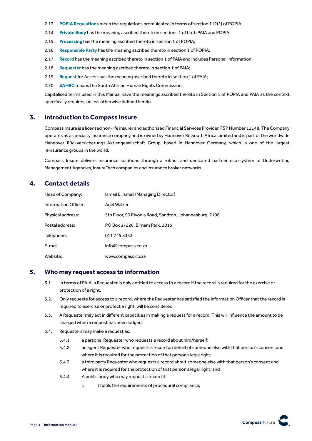- <span id="page-3-0"></span>2.13. **POPIA Regulations** mean the regulations promulgated in terms of section 112(2) of POPIA;
- 2.14. **Private Body** has the meaning ascribed thereto in sections 1 of both PAIA and POPIA;
- 2.15. **Processing** has the meaning ascribed thereto in section 1 of POPIA;
- 2.16. **Responsible Party** has the meaning ascribed thereto in section 1 of POPIA;
- 2.17. **Record** has the meaning ascribed thereto in section 1 of PAIA and includes Personal Information;
- 2.18. **Requester** has the meaning ascribed thereto in section 1 of PAIA;
- 2.19. **Request** for Access has the meaning ascribed thereto in section 1 of PAIA;
- 2.20. **SAHRC** means the South African Human Rights Commission.

Capitalised terms used in this Manual have the meanings ascribed thereto in Section 1 of POPIA and PAIA as the context specifically requires, unless otherwise defined herein.

#### **3. Introduction to Compass Insure**

Compass Insure is a licensed non-life insurer and authorised Financial Services Provider, FSP Number 12148. The Company operates as a specialty insurance company and is owned by Hannover Re South Africa Limited and is part of the worldwide Hannover Rückversicherungs-Aktiengesellschaft Group, based in Hannover Germany, which is one of the largest reinsurance groups in the world.

Compass Insure delivers insurance solutions through a robust and dedicated partner eco-system of Underwriting Management Agencies, InsureTech companies and insurance broker networks.

# **4. Contact details**

| Head of Company:     | Ismail E. Ismail (Managing Director)                    |
|----------------------|---------------------------------------------------------|
| Information Officer: | Adél Walker                                             |
| Physical address:    | 5th Floor, 90 Rivonia Road, Sandton, Johannesburg, 2196 |
| Postal address:      | PO Box 37226, Birnam Park, 2015                         |
| Telephone:           | 0117458333                                              |
| E-mail:              | info@compass.co.za                                      |
| Website:             | www.compass.co.za                                       |

#### **5. Who may request access to information**

- 5.1. In terms of PAIA, a Requester is only entitled to access to a record if the record is required for the exercise or protection of a right.
- 5.2. Only requests for access to a record, where the Requester has satisfied the Information Officer that the record is required to exercise or protect a right, will be considered.
- 5.3. A Requester may act in different capacities in making a request for a record. This will influence the amount to be charged when a request has been lodged.
- 5.4. Requesters may make a request as:
	- 5.4.1. a personal Requester who requests a record about him/herself;
	- 5.4.2. an agent Requester who requests a record on behalf of someone else with that person's consent and where it is required for the protection of that person's legal right;
	- 5.4.3. a third party Requester who requests a record about someone else with that person's consent and where it is required for the protection of that person's legal right; and
	- 5.4.4. A public body who may request a record if:
		- i. it fulfils the requirements of procedural compliance;

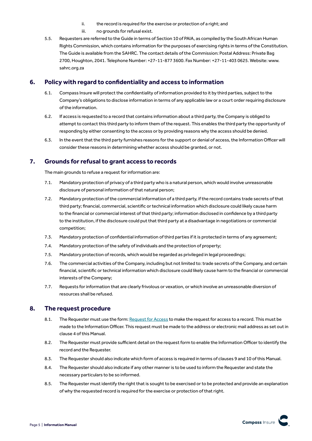- ii. the record is required for the exercise or protection of a right; and
- iii. no grounds for refusal exist.
- <span id="page-4-0"></span>5.5. Requesters are referred to the Guide in terms of Section 10 of PAIA, as compiled by the South African Human Rights Commission, which contains information for the purposes of exercising rights in terms of the Constitution. The Guide is available from the SAHRC. The contact details of the Commission: Postal Address: Private Bag 2700, Houghton, 2041. Telephone Number: +27-11-877 3600. Fax Number: +27-11-403 0625. Website: www. sahrc.org.za

#### **6. Policy with regard to confidentiality and access to information**

- 6.1. Compass Insure will protect the confidentiality of information provided to it by third parties, subject to the Company's obligations to disclose information in terms of any applicable law or a court order requiring disclosure of the information.
- 6.2. If access is requested to a record that contains information about a third party, the Company is obliged to attempt to contact this third party to inform them of the request. This enables the third party the opportunity of responding by either consenting to the access or by providing reasons why the access should be denied.
- 6.3. In the event that the third party furnishes reasons for the support or denial of access, the Information Officer will consider these reasons in determining whether access should be granted, or not.

### **7. Grounds forrefusal to grant access to records**

The main grounds to refuse a request for information are:

- 7.1. Mandatory protection of privacy of a third party who is a natural person, which would involve unreasonable disclosure of personal information of that natural person;
- 7.2. Mandatory protection of the commercial information of a third party, if the record contains trade secrets of that third party; financial, commercial, scientific or technical information which disclosure could likely cause harm to the financial or commercial interest of that third party; information disclosed in confidence by a third party to the institution, if the disclosure could put that third party at a disadvantage in negotiations or commercial competition;
- 7.3. Mandatory protection of confidential information of third parties if it is protected in terms of any agreement;
- 7.4. Mandatory protection of the safety of individuals and the protection of property;
- 7.5. Mandatory protection of records, which would be regarded as privileged in legal proceedings;
- 7.6. The commercial activities of the Company, including but not limited to: trade secrets of the Company, and certain financial, scientific or technical information which disclosure could likely cause harm to the financial or commercial interests of the Company;
- 7.7. Requests for information that are clearly frivolous or vexation, or which involve an unreasonable diversion of resources shall be refused.

### **8. The request procedure**

- 8.1. The Requester must use the form: [Request for Access](http://www.compass.co.za/wp-content/uploads/2021/05/CI_Request_for_Access_Form.pdf) to make the request for access to a record. This must be made to the Information Officer. This request must be made to the address or electronic mail address as set out in clause 4 of this Manual.
- 8.2. The Requester must provide sufficient detail on the request form to enable the Information Officer to identify the record and the Requester.
- 8.3. The Requester should also indicate which form of access is required in terms of clauses 9 and 10 of this Manual.
- 8.4. The Requester should also indicate if any other manner is to be used to inform the Requester and state the necessary particulars to be so informed.
- 8.5. The Requester must identify the right that is sought to be exercised or to be protected and provide an explanation of why the requested record is required for the exercise or protection of that right.

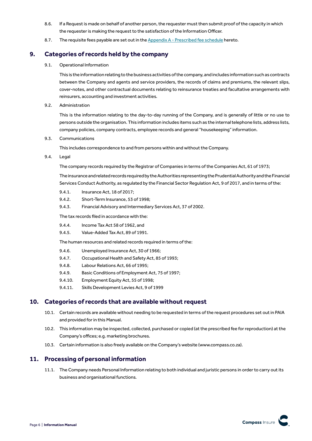- <span id="page-5-0"></span>8.6. If a Request is made on behalf of another person, the requester must then submit proof of the capacity in which the requester is making the request to the satisfaction of the Information Officer.
- 8.7. The requisite fees payable are set out in the  $\Delta p$  endix  $A$  Prescribed fee schedule hereto.

## **9. Categories ofrecords held by the company**

9.1. Operational Information

This is the information relating to the business activities of the company, and includes information such as contracts between the Company and agents and service providers, the records of claims and premiums, the relevant slips, cover-notes, and other contractual documents relating to reinsurance treaties and facultative arrangements with reinsurers, accounting and investment activities.

9.2. Administration

This is the information relating to the day-to-day running of the Company, and is generally of little or no use to persons outside the organisation. This information includes items such as the internal telephone lists, address lists, company policies, company contracts, employee records and general "housekeeping" information.

9.3. Communications

This includes correspondence to and from persons within and without the Company.

9.4. Legal

The company records required by the Registrar of Companies in terms of the Companies Act, 61 of 1973;

The insurance and related records required by the Authorities representing the Prudential Authority and the Financial Services Conduct Authority, as regulated by the Financial Sector Regulation Act, 9 of 2017, and in terms of the:

- 9.4.1. Insurance Act, 18 of 2017;
- 9.4.2. Short-Term Insurance, 53 of 1998;
- 9.4.3. Financial Advisory and Intermediary Services Act, 37 of 2002.

The tax records filed in accordance with the:

- 9.4.4. Income Tax Act 58 of 1962, and
- 9.4.5. Value-Added Tax Act, 89 of 1991.

The human resources and related records required in terms of the:

- 9.4.6. Unemployed Insurance Act, 30 of 1966;
- 9.4.7. Occupational Health and Safety Act, 85 of 1993;
- 9.4.8. Labour Relations Act, 66 of 1995;
- 9.4.9. Basic Conditions of Employment Act, 75 of 1997;
- 9.4.10. Employment Equity Act, 55 of 1998;
- 9.4.11. Skills Development Levies Act, 9 of 1999

#### **10. Categories ofrecords that are available without request**

- 10.1. Certain records are available without needing to be requested in terms of the request procedures set out in PAIA and provided for in this Manual.
- 10.2. This information may be inspected, collected, purchased or copied (at the prescribed fee for reproduction) at the Company's offices; e.g. marketing brochures.
- 10.3. Certain information is also freely available on the Company's website (www.compass.co.za).

### **11. Processing of personal information**

11.1. The Company needs Personal Information relating to both individual and juristic persons in order to carry out its business and organisational functions.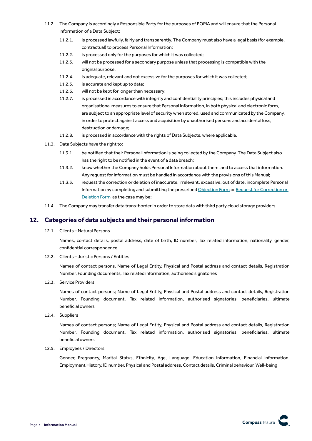- <span id="page-6-0"></span>11.2. The Company is accordingly a Responsible Party for the purposes of POPIA and will ensure that the Personal Information of a Data Subject:
	- 11.2.1. is processed lawfully, fairly and transparently. The Company must also have a legal basis (for example, contractual) to process Personal Information;
	- 11.2.2. is processed only for the purposes for which it was collected;
	- 11.2.3. will not be processed for a secondary purpose unless that processing is compatible with the original purpose.
	- 11.2.4. is adequate, relevant and not excessive for the purposes for which it was collected;
	- 11.2.5. is accurate and kept up to date;
	- 11.2.6. will not be kept for longer than necessary;
	- 11.2.7. is processed in accordance with integrity and confidentiality principles; this includes physical and organisational measures to ensure that Personal Information, in both physical and electronic form, are subject to an appropriate level of security when stored, used and communicated by the Company, in order to protect against access and acquisition by unauthorised persons and accidental loss, destruction or damage;
	- 11.2.8. is processed in accordance with the rights of Data Subjects, where applicable.
- 11.3. Data Subjects have the right to:
	- 11.3.1. be notified that their Personal Information is being collected by the Company. The Data Subject also has the right to be notified in the event of a data breach;
	- 11.3.2. know whether the Company holds Personal Information about them, and to access that information. Any request for information must be handled in accordance with the provisions of this Manual;
	- 11.3.3. request the correction or deletion of inaccurate, irrelevant, excessive, out of date, incomplete Personal Information by completing and submitting the prescribed [Objection Form](http://www.compass.co.za/wp-content/uploads/2021/05/CI_Objection_POPI.pdf) or [Request for Correction or](http://www.compass.co.za/wp-content/uploads/2021/05/CI_Request_POPI.pdf)  [Deletion Form](http://www.compass.co.za/wp-content/uploads/2021/05/CI_Request_POPI.pdf) as the case may be;
- 11.4. The Company may transfer data trans-border in order to store data with third party cloud storage providers.

#### **12. Categories of data subjects and their personal information**

12.1. Clients – Natural Persons

Names, contact details, postal address, date of birth, ID number, Tax related information, nationality, gender, confidential correspondence

12.2. Clients – Juristic Persons / Entities

Names of contact persons, Name of Legal Entity, Physical and Postal address and contact details, Registration Number, Founding documents, Tax related information, authorised signatories

12.3. Service Providers

Names of contact persons; Name of Legal Entity, Physical and Postal address and contact details, Registration Number, Founding document, Tax related information, authorised signatories, beneficiaries, ultimate beneficial owners

12.4. Suppliers

Names of contact persons; Name of Legal Entity, Physical and Postal address and contact details, Registration Number, Founding document, Tax related information, authorised signatories, beneficiaries, ultimate beneficial owners

12.5. Employees / Directors

Gender, Pregnancy, Marital Status, Ethnicity, Age, Language, Education information, Financial Information, Employment History, ID number, Physical and Postal address, Contact details, Criminal behaviour, Well-being